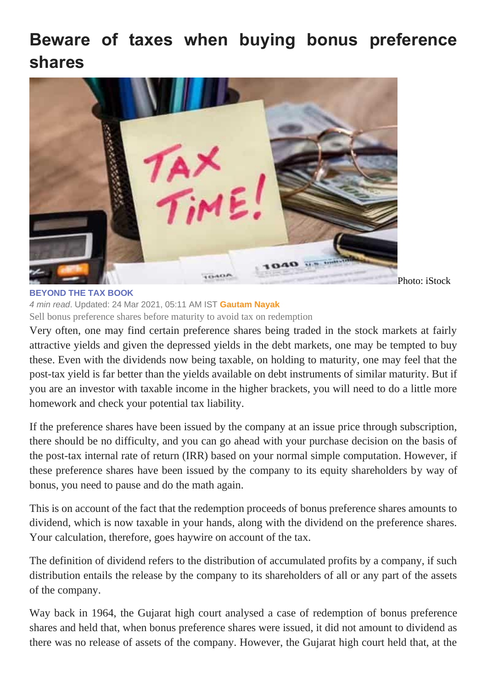## **Beware of taxes when buying bonus preference shares**



Photo: iStock

## **[BEYOND THE TAX BOOK](https://www.livemint.com/column/beyond-the-tax-book)**

*4 min read*. Updated: 24 Mar 2021, 05:11 AM IST **Gautam Nayak** Sell bonus preference shares before maturity to avoid tax on redemption

Very often, one may find certain preference shares being traded in the stock markets at fairly attractive yields and given the depressed yields in the debt markets, one may be tempted to buy these. Even with the dividends now being taxable, on holding to maturity, one may feel that the post-tax yield is far better than the yields available on debt instruments of similar maturity. But if you are an investor with taxable income in the higher brackets, you will need to do a little more homework and check your potential tax liability.

If the preference shares have been issued by the company at an issue price through subscription, there should be no difficulty, and you can go ahead with your purchase decision on the basis of the post-tax internal rate of return (IRR) based on your normal simple computation. However, if these preference shares have been issued by the company to its equity shareholders by way of bonus, you need to pause and do the math again.

This is on account of the fact that the redemption proceeds of bonus preference shares amounts to dividend, which is now taxable in your hands, along with the dividend on the preference shares. Your calculation, therefore, goes haywire on account of the tax.

The definition of dividend refers to the distribution of accumulated profits by a company, if such distribution entails the release by the company to its shareholders of all or any part of the assets of the company.

Way back in 1964, the Gujarat high court analysed a case of redemption of bonus preference shares and held that, when bonus preference shares were issued, it did not amount to dividend as there was no release of assets of the company. However, the Gujarat high court held that, at the